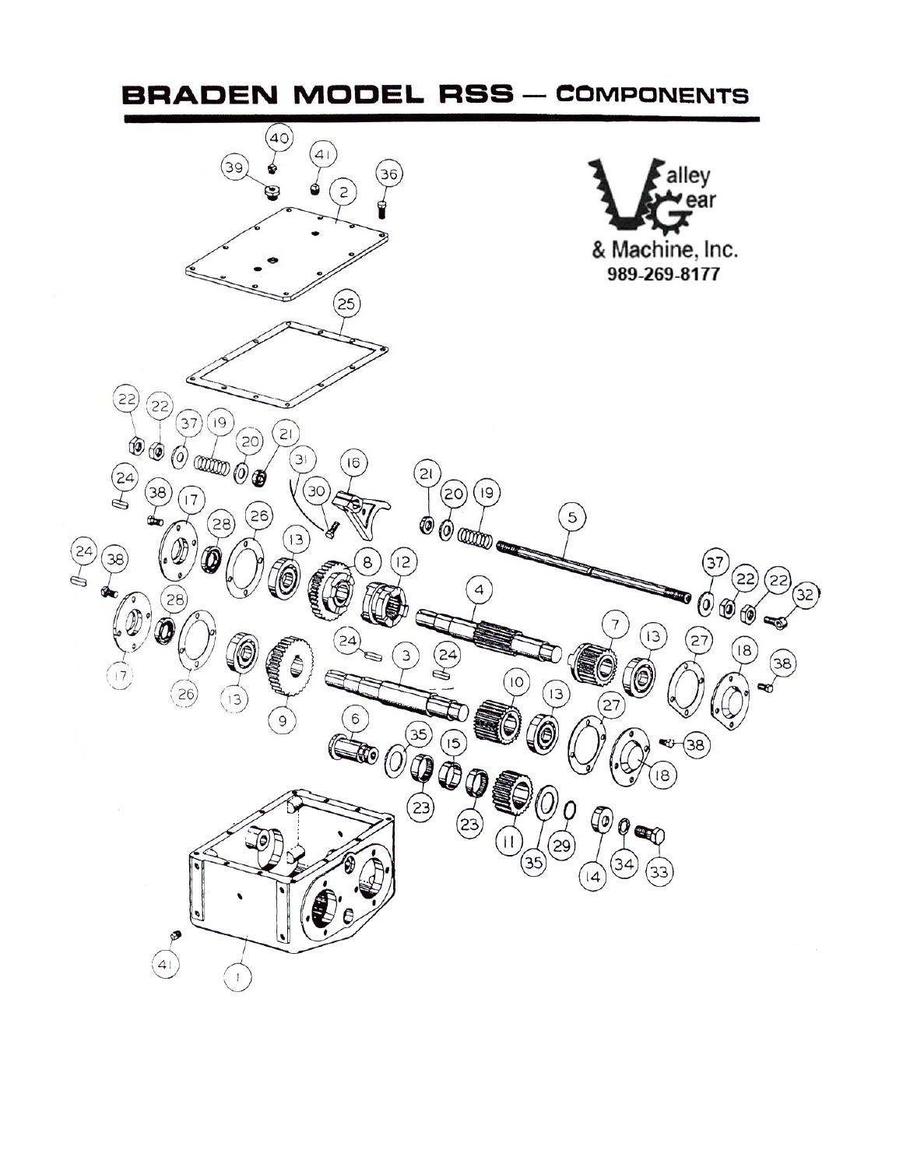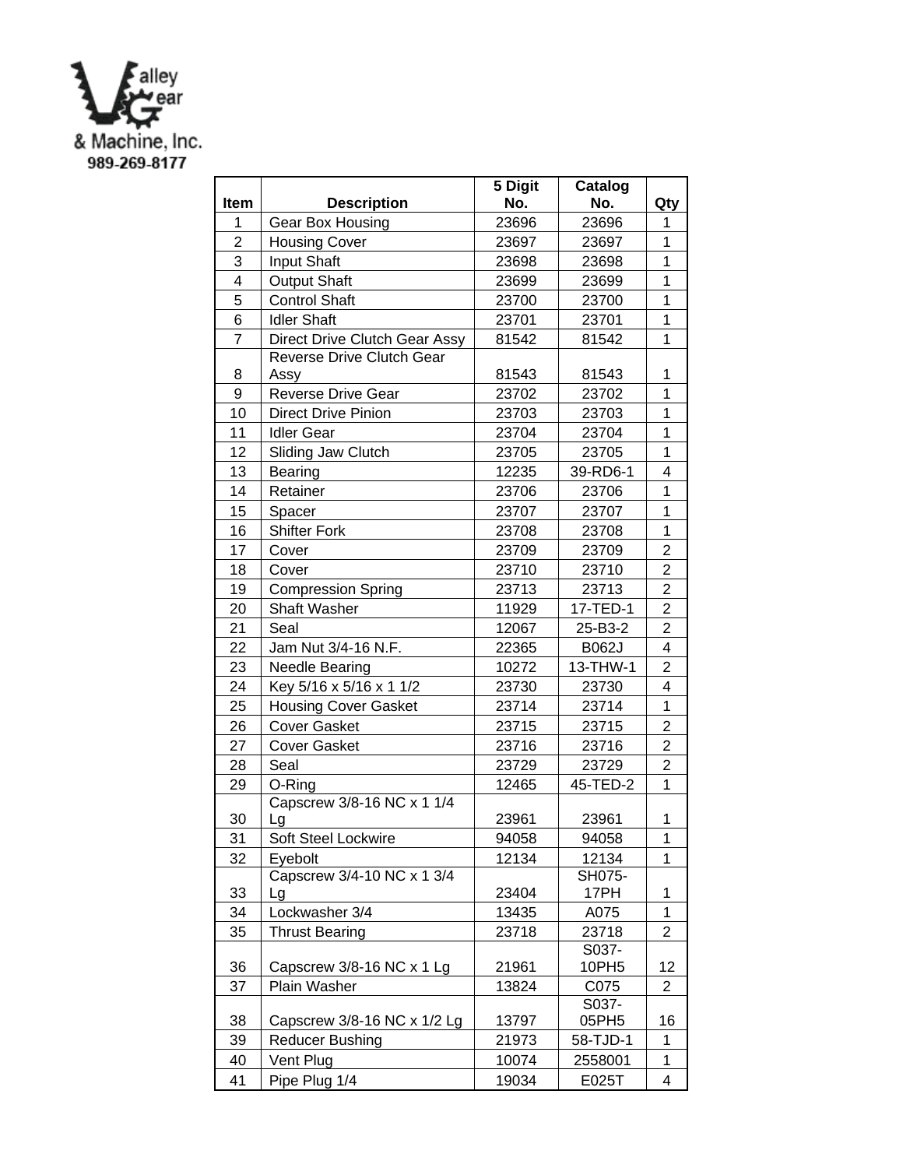

|                |                                  | 5 Digit | Catalog  |                         |
|----------------|----------------------------------|---------|----------|-------------------------|
| Item           | <b>Description</b>               | No.     | No.      | Qty                     |
| 1              | Gear Box Housing                 | 23696   | 23696    | 1                       |
| $\overline{c}$ | <b>Housing Cover</b>             | 23697   | 23697    | 1                       |
| 3              | Input Shaft                      | 23698   | 23698    | $\overline{1}$          |
| 4              | <b>Output Shaft</b>              | 23699   | 23699    | $\overline{1}$          |
| 5              | <b>Control Shaft</b>             | 23700   | 23700    | 1                       |
| 6              | <b>Idler Shaft</b>               | 23701   | 23701    | 1                       |
| $\overline{7}$ | Direct Drive Clutch Gear Assy    | 81542   | 81542    | 1                       |
|                | Reverse Drive Clutch Gear        |         |          |                         |
| 8              | Assy                             | 81543   | 81543    | 1                       |
| 9              | Reverse Drive Gear               | 23702   | 23702    | 1                       |
| 10             | <b>Direct Drive Pinion</b>       | 23703   | 23703    | 1                       |
| 11             | <b>Idler Gear</b>                | 23704   | 23704    | $\mathbf 1$             |
| 12             | Sliding Jaw Clutch               | 23705   | 23705    | $\mathbf 1$             |
| 13             | <b>Bearing</b>                   | 12235   | 39-RD6-1 | 4                       |
| 14             | Retainer                         | 23706   | 23706    | 1                       |
| 15             | Spacer                           | 23707   | 23707    | $\overline{1}$          |
| 16             | <b>Shifter Fork</b>              | 23708   | 23708    | 1                       |
| 17             | Cover                            | 23709   | 23709    | $\overline{2}$          |
| 18             | Cover                            | 23710   | 23710    | $\overline{2}$          |
| 19             | <b>Compression Spring</b>        | 23713   | 23713    | $\overline{2}$          |
| 20             | <b>Shaft Washer</b>              | 11929   | 17-TED-1 | $\overline{c}$          |
| 21             | Seal                             | 12067   | 25-B3-2  | $\overline{2}$          |
| 22             | Jam Nut 3/4-16 N.F.              | 22365   | B062J    | 4                       |
| 23             | Needle Bearing                   | 10272   | 13-THW-1 | $\overline{2}$          |
| 24             | Key 5/16 x 5/16 x 1 1/2          | 23730   | 23730    | $\overline{4}$          |
| 25             | <b>Housing Cover Gasket</b>      | 23714   | 23714    | $\mathbf 1$             |
| 26             | <b>Cover Gasket</b>              | 23715   | 23715    | $\overline{\mathbf{c}}$ |
| 27             | <b>Cover Gasket</b>              | 23716   | 23716    | $\overline{2}$          |
| 28             | Seal                             | 23729   | 23729    | $\overline{2}$          |
| 29             | O-Ring                           | 12465   | 45-TED-2 | 1                       |
| 30             | Capscrew 3/8-16 NC x 1 1/4<br>Lg | 23961   | 23961    | 1                       |
| 31             | Soft Steel Lockwire              | 94058   | 94058    | $\mathbf{1}$            |
| 32             | Eyebolt                          | 12134   | 12134    | 1                       |
|                | Capscrew 3/4-10 NC x 1 3/4       |         | SH075-   |                         |
| 33             | Lg                               | 23404   | 17PH     | 1                       |
| 34             | Lockwasher 3/4                   | 13435   | A075     | 1                       |
| 35             | <b>Thrust Bearing</b>            | 23718   | 23718    | 2                       |
|                |                                  |         | S037-    |                         |
| 36             | Capscrew 3/8-16 NC x 1 Lg        | 21961   | 10PH5    | 12                      |
| 37             | Plain Washer                     | 13824   | C075     | 2                       |
|                |                                  |         | S037-    |                         |
| 38             | Capscrew 3/8-16 NC x 1/2 Lg      | 13797   | 05PH5    | 16                      |
| 39             | <b>Reducer Bushing</b>           | 21973   | 58-TJD-1 | 1                       |
| 40             | Vent Plug                        | 10074   | 2558001  | 1                       |
| 41             | Pipe Plug 1/4                    | 19034   | E025T    | 4                       |